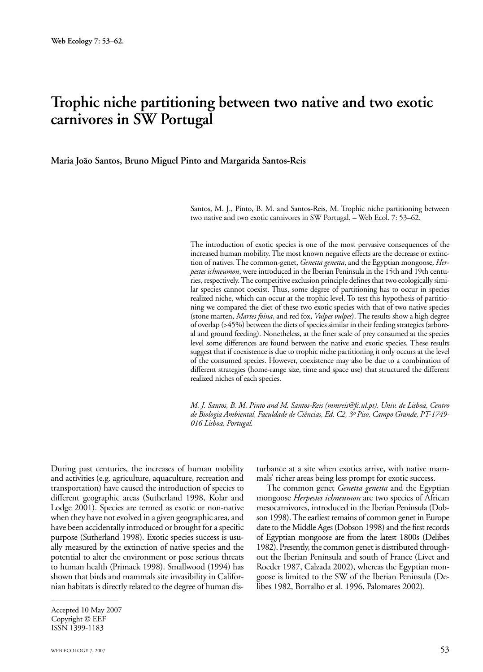# **Trophic niche partitioning between two native and two exotic carnivores in SW Portugal**

**Maria João Santos, Bruno Miguel Pinto and Margarida Santos-Reis**

Santos, M. J., Pinto, B. M. and Santos-Reis, M. Trophic niche partitioning between two native and two exotic carnivores in SW Portugal. – Web Ecol. 7: 53–62.

The introduction of exotic species is one of the most pervasive consequences of the increased human mobility. The most known negative effects are the decrease or extinction of natives. The common-genet, *Genetta genetta*, and the Egyptian mongoose, *Herpestes ichneumon*, were introduced in the Iberian Peninsula in the 15th and 19th centuries, respectively. The competitive exclusion principle defines that two ecologically similar species cannot coexist. Thus, some degree of partitioning has to occur in species realized niche, which can occur at the trophic level. To test this hypothesis of partitioning we compared the diet of these two exotic species with that of two native species (stone marten, *Martes foina*, and red fox, *Vulpes vulpes*). The results show a high degree of overlap (>45%) between the diets of species similar in their feeding strategies (arboreal and ground feeding). Nonetheless, at the finer scale of prey consumed at the species level some differences are found between the native and exotic species. These results suggest that if coexistence is due to trophic niche partitioning it only occurs at the level of the consumed species. However, coexistence may also be due to a combination of different strategies (home-range size, time and space use) that structured the different realized niches of each species.

*M. J. Santos, B. M. Pinto and M. Santos-Reis (mmreis@fc.ul.pt), Univ. de Lisboa, Centro de Biologia Ambiental, Faculdade de Ciências, Ed. C2, 3º Piso, Campo Grande, PT-1749- 016 Lisboa, Portugal.*

During past centuries, the increases of human mobility and activities (e.g. agriculture, aquaculture, recreation and transportation) have caused the introduction of species to different geographic areas (Sutherland 1998, Kolar and Lodge 2001). Species are termed as exotic or non-native when they have not evolved in a given geographic area, and have been accidentally introduced or brought for a specific purpose (Sutherland 1998). Exotic species success is usually measured by the extinction of native species and the potential to alter the environment or pose serious threats to human health (Primack 1998). Smallwood (1994) has shown that birds and mammals site invasibility in Californian habitats is directly related to the degree of human disturbance at a site when exotics arrive, with native mammals' richer areas being less prompt for exotic success.

The common genet *Genetta genetta* and the Egyptian mongoose *Herpestes ichneumon* are two species of African mesocarnivores, introduced in the Iberian Peninsula (Dobson 1998). The earliest remains of common genet in Europe date to the Middle Ages (Dobson 1998) and the first records of Egyptian mongoose are from the latest 1800s (Delibes 1982). Presently, the common genet is distributed throughout the Iberian Peninsula and south of France (Livet and Roeder 1987, Calzada 2002), whereas the Egyptian mongoose is limited to the SW of the Iberian Peninsula (Delibes 1982, Borralho et al. 1996, Palomares 2002).

Accepted 10 May 2007 Copyright © EEF ISSN 1399-1183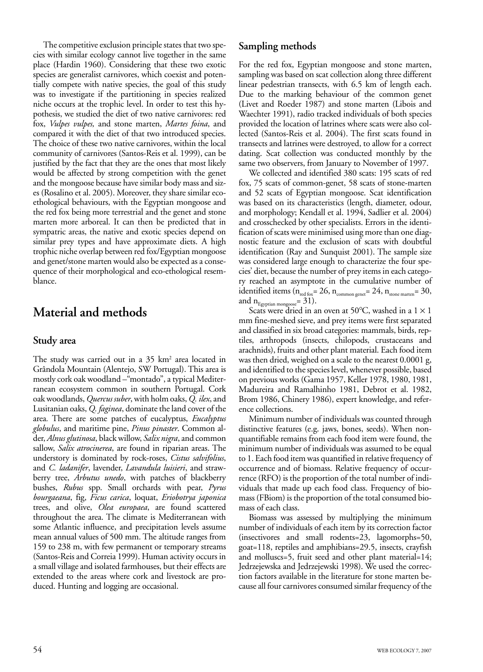The competitive exclusion principle states that two species with similar ecology cannot live together in the same place (Hardin 1960). Considering that these two exotic species are generalist carnivores, which coexist and potentially compete with native species, the goal of this study was to investigate if the partitioning in species realized niche occurs at the trophic level. In order to test this hypothesis, we studied the diet of two native carnivores: red fox, *Vulpes vulpes,* and stone marten, *Martes foina*, and compared it with the diet of that two introduced species. The choice of these two native carnivores, within the local community of carnivores (Santos-Reis et al. 1999), can be justified by the fact that they are the ones that most likely would be affected by strong competition with the genet and the mongoose because have similar body mass and sizes (Rosalino et al. 2005). Moreover, they share similar ecoethological behaviours, with the Egyptian mongoose and the red fox being more terrestrial and the genet and stone marten more arboreal. It can then be predicted that in sympatric areas, the native and exotic species depend on similar prey types and have approximate diets. A high trophic niche overlap between red fox/Egyptian mongoose and genet/stone marten would also be expected as a consequence of their morphological and eco-ethological resemblance.

# **Material and methods**

### **Study area**

The study was carried out in a 35 km<sup>2</sup> area located in Grândola Mountain (Alentejo, SW Portugal). This area is mostly cork oak woodland –"montado", a typical Mediterranean ecosystem common in southern Portugal. Cork oakwoodlands, *Quercus suber*, with holm oaks, *Q. ilex*, and Lusitanian oaks, *Q. faginea*, dominate the land cover of the area*.* There are some patches of eucalyptus, *Eucalyptus globulus*, and maritime pine, *Pinus pinaster*. Common alder, *Alnus glutinosa*, black willow, *Salix nigra*, and common sallow, *Salix atrocinerea*, are found in riparian areas. The understory is dominated by rock-roses, *Cistus salvifolius*, and *C. ladanifer*, lavender, *Lavandula luisieri*, and strawberry tree, *Arbutus unedo*, with patches of blackberry bushes, *Rubus* spp. Small orchards with pear, *Pyrus bourgaeana*, fig, *Ficus carica*, loquat, *Eriobotrya japonica* trees, and olive, *Olea europaea*, are found scattered throughout the area. The climate is Mediterranean with some Atlantic influence, and precipitation levels assume mean annual values of 500 mm. The altitude ranges from 159 to 238 m, with few permanent or temporary streams (Santos-Reis and Correia 1999). Human activity occurs in a small village and isolated farmhouses, but their effects are extended to the areas where cork and livestock are produced. Hunting and logging are occasional.

### **Sampling methods**

For the red fox, Egyptian mongoose and stone marten, sampling was based on scat collection along three different linear pedestrian transects, with 6.5 km of length each. Due to the marking behaviour of the common genet (Livet and Roeder 1987) and stone marten (Libois and Waechter 1991), radio tracked individuals of both species provided the location of latrines where scats were also collected (Santos-Reis et al. 2004). The first scats found in transects and latrines were destroyed, to allow for a correct dating. Scat collection was conducted monthly by the same two observers, from January to November of 1997.

We collected and identified 380 scats: 195 scats of red fox, 75 scats of common-genet, 58 scats of stone-marten and 52 scats of Egyptian mongoose. Scat identification was based on its characteristics (length, diameter, odour, and morphology; Kendall et al. 1994, Sadlier et al. 2004) and crosschecked by other specialists. Errors in the identification of scats were minimised using more than one diagnostic feature and the exclusion of scats with doubtful identification (Ray and Sunquist 2001). The sample size was considered large enough to characterize the four species' diet, because the number of prey items in each category reached an asymptote in the cumulative number of identified items ( $n_{red \, \text{fox}} = 26$ ,  $n_{common \, \text{genet}} = 24$ ,  $n_{stone \, \text{matter}} = 30$ , and  $n_{\text{Egyptian mongoose}} = 31$ .

Scats were dried in an oven at 50°C, washed in a  $1 \times 1$ mm fine-meshed sieve, and prey items were first separated and classified in six broad categories: mammals, birds, reptiles, arthropods (insects, chilopods, crustaceans and arachnids), fruits and other plant material. Each food item was then dried, weighed on a scale to the nearest 0.0001 g, and identified to the species level, whenever possible, based on previous works (Gama 1957, Keller 1978, 1980, 1981, Madureira and Ramalhinho 1981, Debrot et al. 1982, Brom 1986, Chinery 1986), expert knowledge, and reference collections.

Minimum number of individuals was counted through distinctive features (e.g. jaws, bones, seeds). When nonquantifiable remains from each food item were found, the minimum number of individuals was assumed to be equal to 1. Each food item was quantified in relative frequency of occurrence and of biomass. Relative frequency of occurrence (RFO) is the proportion of the total number of individuals that made up each food class. Frequency of biomass (FBiom) is the proportion of the total consumed biomass of each class.

Biomass was assessed by multiplying the minimum number of individuals of each item by its correction factor (insectivores and small rodents=23, lagomorphs=50, goat=118, reptiles and amphibians=29.5, insects, crayfish and molluscs=5, fruit seed and other plant material=14; Jedrzejewska and Jedrzejewski 1998). We used the correction factors available in the literature for stone marten because all four carnivores consumed similar frequency of the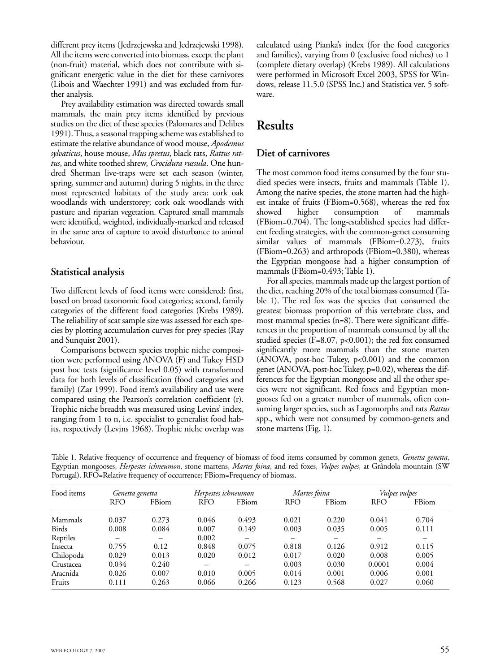different prey items (Jedrzejewska and Jedrzejewski 1998). All the items were converted into biomass, except the plant (non-fruit) material, which does not contribute with significant energetic value in the diet for these carnivores (Libois and Waechter 1991) and was excluded from further analysis.

Prey availability estimation was directed towards small mammals, the main prey items identified by previous studies on the diet of these species (Palomares and Delibes 1991). Thus, a seasonal trapping scheme was established to estimate the relative abundance of wood mouse, *Apodemus sylvaticus*, house mouse, *Mus spretus*, black rats, *Rattus rattus*, and white toothed shrew, *Crocidura russula*. One hundred Sherman live-traps were set each season (winter, spring, summer and autumn) during 5 nights, in the three most represented habitats of the study area: cork oak woodlands with understorey; cork oak woodlands with pasture and riparian vegetation. Captured small mammals were identified, weighted, individually-marked and released in the same area of capture to avoid disturbance to animal behaviour.

#### **Statistical analysis**

Two different levels of food items were considered: first, based on broad taxonomic food categories; second, family categories of the different food categories (Krebs 1989). The reliability of scat sample size was assessed for each species by plotting accumulation curves for prey species (Ray and Sunquist 2001).

Comparisons between species trophic niche composition were performed using ANOVA (F) and Tukey HSD post hoc tests (significance level 0.05) with transformed data for both levels of classification (food categories and family) (Zar 1999). Food item's availability and use were compared using the Pearson's correlation coefficient (r). Trophic niche breadth was measured using Levins' index, ranging from 1 to n, i.e. specialist to generalist food habits, respectively (Levins 1968). Trophic niche overlap was

calculated using Pianka's index (for the food categories and families), varying from 0 (exclusive food niches) to 1 (complete dietary overlap) (Krebs 1989). All calculations were performed in Microsoft Excel 2003, SPSS for Windows, release 11.5.0 (SPSS Inc.) and Statistica ver. 5 software.

## **Results**

### **Diet of carnivores**

The most common food items consumed by the four studied species were insects, fruits and mammals (Table 1). Among the native species, the stone marten had the highest intake of fruits (FBiom=0.568), whereas the red fox showed higher consumption of mammals (FBiom=0.704). The long-established species had different feeding strategies, with the common-genet consuming similar values of mammals (FBiom=0.273), fruits (FBiom=0.263) and arthropods (FBiom=0.380), whereas the Egyptian mongoose had a higher consumption of mammals (FBiom=0.493; Table 1).

For all species, mammals made up the largest portion of the diet, reaching 20% of the total biomass consumed (Table 1). The red fox was the species that consumed the greatest biomass proportion of this vertebrate class, and most mammal species (n=8). There were significant differences in the proportion of mammals consumed by all the studied species (F=8.07, p<0.001); the red fox consumed significantly more mammals than the stone marten (ANOVA, post-hoc Tukey,  $p<0.001$ ) and the common genet (ANOVA, post-hoc Tukey, p=0.02), whereas the differences for the Egyptian mongoose and all the other species were not significant. Red foxes and Egyptian mongooses fed on a greater number of mammals, often consuming larger species, such as Lagomorphs and rats *Rattus* spp., which were not consumed by common-genets and stone martens (Fig. 1).

Table 1. Relative frequency of occurrence and frequency of biomass of food items consumed by common genets, *Genetta genetta*, Egyptian mongooses, *Herpestes ichneumon*, stone martens, *Martes foina*, and red foxes, *Vulpes vulpes*, at Grândola mountain (SW Portugal). RFO=Relative frequency of occurrence; FBiom=Frequency of biomass.

| Food items | Genetta genetta |                          | Herpestes ichneumon |       | Martes foina |       | <i>Vulpes vulpes</i> |                          |
|------------|-----------------|--------------------------|---------------------|-------|--------------|-------|----------------------|--------------------------|
|            | <b>RFO</b>      | FBiom                    | <b>RFO</b>          | FBiom | <b>RFO</b>   | FBiom | <b>RFO</b>           | FBiom                    |
| Mammals    | 0.037           | 0.273                    | 0.046               | 0.493 | 0.021        | 0.220 | 0.041                | 0.704                    |
| Birds      | 0.008           | 0.084                    | 0.007               | 0.149 | 0.003        | 0.035 | 0.005                | 0.111                    |
| Reptiles   | -               | $\overline{\phantom{0}}$ | 0.002               | -     |              |       |                      | $\overline{\phantom{0}}$ |
| Insecta    | 0.755           | 0.12                     | 0.848               | 0.075 | 0.818        | 0.126 | 0.912                | 0.115                    |
| Chilopoda  | 0.029           | 0.013                    | 0.020               | 0.012 | 0.017        | 0.020 | 0.008                | 0.005                    |
| Crustacea  | 0.034           | 0.240                    |                     |       | 0.003        | 0.030 | 0.0001               | 0.004                    |
| Aracnida   | 0.026           | 0.007                    | 0.010               | 0.005 | 0.014        | 0.001 | 0.006                | 0.001                    |
| Fruits     | 0.111           | 0.263                    | 0.066               | 0.266 | 0.123        | 0.568 | 0.027                | 0.060                    |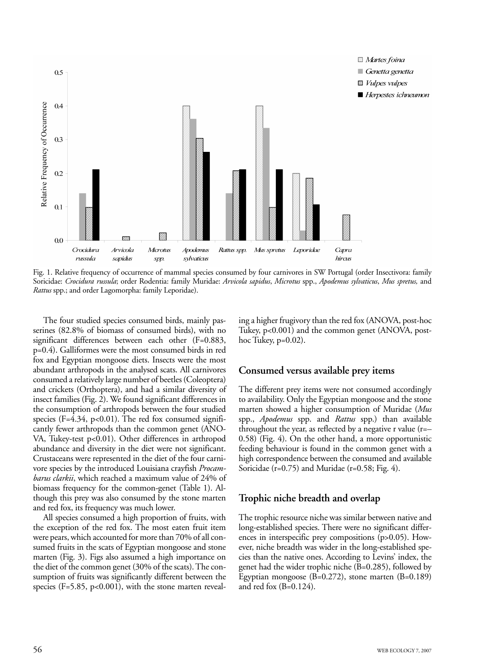

Fig. 1. Relative frequency of occurrence of mammal species consumed by four carnivores in SW Portugal (order Insectivora: family Soricidae: *Crocidura russula*; order Rodentia: family Muridae: *Arvicola sapidus*, *Microtus* spp., *Apodemus sylvaticus*, *Mus spretus,* and *Rattus* spp.; and order Lagomorpha: family Leporidae).

The four studied species consumed birds, mainly passerines (82.8% of biomass of consumed birds), with no significant differences between each other (F=0.883, p=0.4). Galliformes were the most consumed birds in red fox and Egyptian mongoose diets. Insects were the most abundant arthropods in the analysed scats. All carnivores consumed a relatively large number of beetles (Coleoptera) and crickets (Orthoptera), and had a similar diversity of insect families (Fig. 2). We found significant differences in the consumption of arthropods between the four studied species (F=4.34, p<0.01). The red fox consumed significantly fewer arthropods than the common genet (ANO-VA, Tukey-test p<0.01). Other differences in arthropod abundance and diversity in the diet were not significant. Crustaceans were represented in the diet of the four carnivore species by the introduced Louisiana crayfish *Procambarus clarkii*, which reached a maximum value of 24% of biomass frequency for the common-genet (Table 1). Although this prey was also consumed by the stone marten and red fox, its frequency was much lower.

All species consumed a high proportion of fruits, with the exception of the red fox. The most eaten fruit item were pears, which accounted for more than 70% of all consumed fruits in the scats of Egyptian mongoose and stone marten (Fig. 3). Figs also assumed a high importance on the diet of the common genet (30% of the scats). The consumption of fruits was significantly different between the species (F=5.85, p<0.001), with the stone marten revealing a higher frugivory than the red fox (ANOVA, post-hoc Tukey, p<0.001) and the common genet (ANOVA, posthoc Tukey, p=0.02).

#### **Consumed versus available prey items**

The different prey items were not consumed accordingly to availability. Only the Egyptian mongoose and the stone marten showed a higher consumption of Muridae (*Mus* spp., *Apodemus* spp. and *Rattus* spp.) than available throughout the year, as reflected by a negative r value (r=– 0.58) (Fig. 4). On the other hand, a more opportunistic feeding behaviour is found in the common genet with a high correspondence between the consumed and available Soricidae (r=0.75) and Muridae (r=0.58; Fig. 4).

#### **Trophic niche breadth and overlap**

The trophic resource niche was similar between native and long-established species. There were no significant differences in interspecific prey compositions (p>0.05). However, niche breadth was wider in the long-established species than the native ones. According to Levins' index, the genet had the wider trophic niche (B=0.285), followed by Egyptian mongoose  $(B=0.272)$ , stone marten  $(B=0.189)$ and red fox (B=0.124).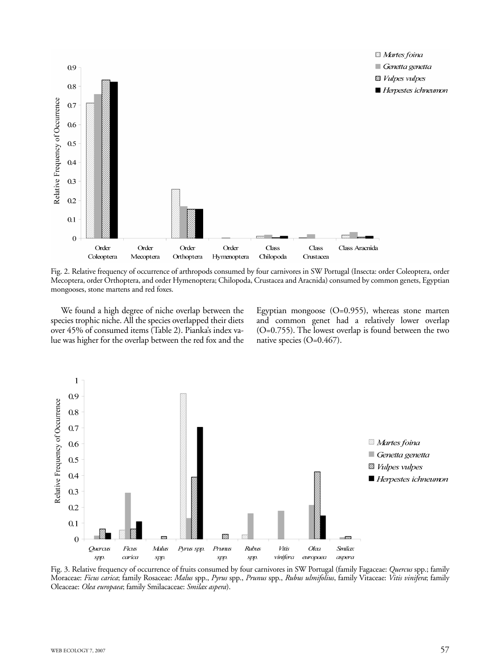

Fig. 2. Relative frequency of occurrence of arthropods consumed by four carnivores in SW Portugal (Insecta: order Coleoptera, order Mecoptera, order Orthoptera, and order Hymenoptera; Chilopoda, Crustacea and Aracnida) consumed by common genets, Egyptian mongooses, stone martens and red foxes.

We found a high degree of niche overlap between the species trophic niche. All the species overlapped their diets over 45% of consumed items (Table 2). Pianka's index value was higher for the overlap between the red fox and the

Egyptian mongoose  $(O=0.955)$ , whereas stone marten and common genet had a relatively lower overlap (O=0.755). The lowest overlap is found between the two native species (O=0.467).



Fig. 3. Relative frequency of occurrence of fruits consumed by four carnivores in SW Portugal (family Fagaceae: *Quercus* spp.; family Moraceae: *Ficus carica*; family Rosaceae: *Malus* spp., *Pyrus* spp., *Prunus* spp., *Rubus ulmifolius*, family Vitaceae: *Vitis vinifera*; family Oleaceae: *Olea europaea*; family Smilacaceae: *Smilax aspera*).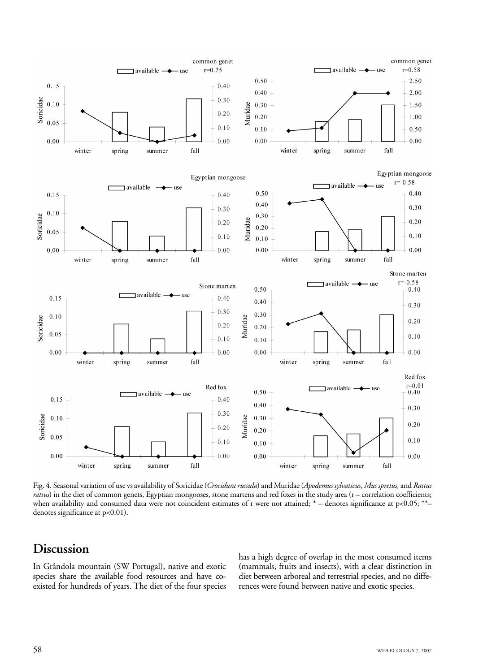

Fig. 4. Seasonal variation of use vs availability of Soricidae (*Crocidura russula*) and Muridae (*Apodemus sylvaticus*, *Mus spretus,* and *Rattus rattus*) in the diet of common genets, Egyptian mongooses, stone martens and red foxes in the study area (r – correlation coefficients; when availability and consumed data were not coincident estimates of r were not attained; \* – denotes significance at p<0.05; \*\*– denotes significance at p<0.01).

# **Discussion**

In Grândola mountain (SW Portugal), native and exotic species share the available food resources and have coexisted for hundreds of years. The diet of the four species has a high degree of overlap in the most consumed items (mammals, fruits and insects), with a clear distinction in diet between arboreal and terrestrial species, and no differences were found between native and exotic species.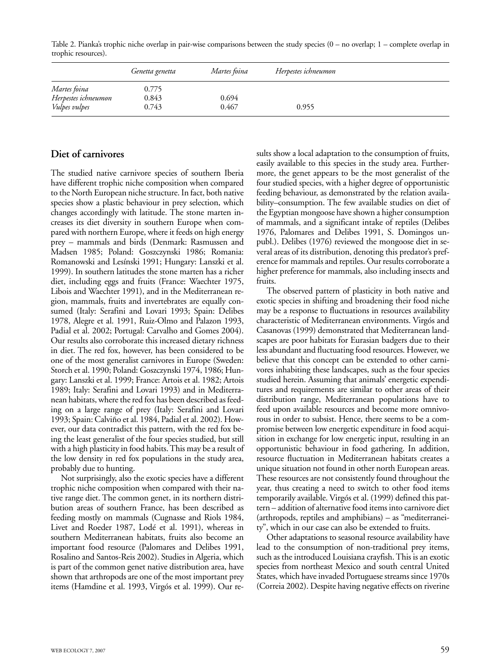Table 2. Pianka's trophic niche overlap in pair-wise comparisons between the study species (0 – no overlap; 1 – complete overlap in trophic resources).

|                      | Genetta genetta | Martes foina | Herpestes ichneumon |  |
|----------------------|-----------------|--------------|---------------------|--|
| Martes foina         | 0.775           |              |                     |  |
| Herpestes ichneumon  | 0.843           | 0.694        |                     |  |
| <i>Vulpes vulpes</i> | 0.743           | 0.467        | 0.955               |  |

### **Diet of carnivores**

The studied native carnivore species of southern Iberia have different trophic niche composition when compared to the North European niche structure. In fact, both native species show a plastic behaviour in prey selection, which changes accordingly with latitude. The stone marten increases its diet diversity in southern Europe when compared with northern Europe, where it feeds on high energy prey – mammals and birds (Denmark: Rasmussen and Madsen 1985; Poland: Goszczynski 1986; Romania: Romanowski and Lesínski 1991; Hungary: Lanszki et al. 1999). In southern latitudes the stone marten has a richer diet, including eggs and fruits (France: Waechter 1975, Libois and Waechter 1991), and in the Mediterranean region, mammals, fruits and invertebrates are equally consumed (Italy: Serafini and Lovari 1993; Spain: Delibes 1978, Alegre et al. 1991, Ruiz-Olmo and Palazon 1993, Padial et al. 2002; Portugal: Carvalho and Gomes 2004). Our results also corroborate this increased dietary richness in diet. The red fox, however, has been considered to be one of the most generalist carnivores in Europe (Sweden: Storch et al. 1990; Poland: Goszczynski 1974, 1986; Hungary: Lanszki et al. 1999; France: Artois et al. 1982; Artois 1989; Italy: Serafini and Lovari 1993) and in Mediterranean habitats, where the red fox has been described as feeding on a large range of prey (Italy: Serafini and Lovari 1993; Spain: Calviño et al. 1984, Padial et al. 2002). However, our data contradict this pattern, with the red fox being the least generalist of the four species studied, but still with a high plasticity in food habits. This may be a result of the low density in red fox populations in the study area, probably due to hunting.

Not surprisingly, also the exotic species have a different trophic niche composition when compared with their native range diet. The common genet, in its northern distribution areas of southern France, has been described as feeding mostly on mammals (Cugnasse and Riols 1984, Livet and Roeder 1987, Lodé et al. 1991), whereas in southern Mediterranean habitats, fruits also become an important food resource (Palomares and Delibes 1991, Rosalino and Santos-Reis 2002). Studies in Algeria, which is part of the common genet native distribution area, have shown that arthropods are one of the most important prey items (Hamdine et al. 1993, Virgós et al. 1999). Our results show a local adaptation to the consumption of fruits, easily available to this species in the study area. Furthermore, the genet appears to be the most generalist of the four studied species, with a higher degree of opportunistic feeding behaviour, as demonstrated by the relation availability–consumption. The few available studies on diet of the Egyptian mongoose have shown a higher consumption of mammals, and a significant intake of reptiles (Delibes 1976, Palomares and Delibes 1991, S. Domingos unpubl.). Delibes (1976) reviewed the mongoose diet in several areas of its distribution, denoting this predator's preference for mammals and reptiles. Our results corroborate a higher preference for mammals, also including insects and fruits.

The observed pattern of plasticity in both native and exotic species in shifting and broadening their food niche may be a response to fluctuations in resources availability characteristic of Mediterranean environments. Virgós and Casanovas (1999) demonstrated that Mediterranean landscapes are poor habitats for Eurasian badgers due to their less abundant and fluctuating food resources. However, we believe that this concept can be extended to other carnivores inhabiting these landscapes, such as the four species studied herein. Assuming that animals' energetic expenditures and requirements are similar to other areas of their distribution range, Mediterranean populations have to feed upon available resources and become more omnivorous in order to subsist. Hence, there seems to be a compromise between low energetic expenditure in food acquisition in exchange for low energetic input, resulting in an opportunistic behaviour in food gathering. In addition, resource fluctuation in Mediterranean habitats creates a unique situation not found in other north European areas. These resources are not consistently found throughout the year, thus creating a need to switch to other food items temporarily available. Virgós et al. (1999) defined this pattern – addition of alternative food items into carnivore diet (arthropods, reptiles and amphibians) – as "mediterraneity", which in our case can also be extended to fruits.

Other adaptations to seasonal resource availability have lead to the consumption of non-traditional prey items, such as the introduced Louisiana crayfish. This is an exotic species from northeast Mexico and south central United States, which have invaded Portuguese streams since 1970s (Correia 2002). Despite having negative effects on riverine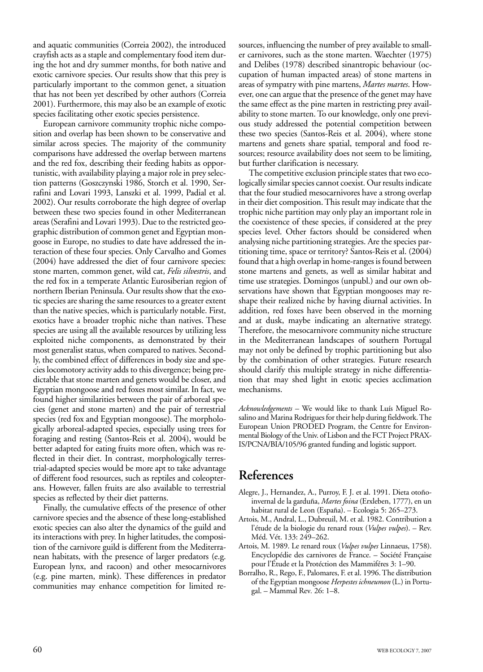and aquatic communities (Correia 2002), the introduced crayfish acts as a staple and complementary food item during the hot and dry summer months, for both native and exotic carnivore species. Our results show that this prey is particularly important to the common genet, a situation that has not been yet described by other authors (Correia 2001). Furthermore, this may also be an example of exotic species facilitating other exotic species persistence.

European carnivore community trophic niche composition and overlap has been shown to be conservative and similar across species. The majority of the community comparisons have addressed the overlap between martens and the red fox, describing their feeding habits as opportunistic, with availability playing a major role in prey selection patterns (Goszczynski 1986, Storch et al. 1990, Serrafini and Lovari 1993, Lanszki et al. 1999, Padial et al. 2002). Our results corroborate the high degree of overlap between these two species found in other Mediterranean areas (Serafini and Lovari 1993). Due to the restricted geographic distribution of common genet and Egyptian mongoose in Europe, no studies to date have addressed the interaction of these four species. Only Carvalho and Gomes (2004) have addressed the diet of four carnivore species: stone marten, common genet, wild cat, *Felis silvestris*, and the red fox in a temperate Atlantic Eurosiberian region of northern Iberian Peninsula. Our results show that the exotic species are sharing the same resources to a greater extent than the native species, which is particularly notable. First, exotics have a broader trophic niche than natives. These species are using all the available resources by utilizing less exploited niche components, as demonstrated by their most generalist status, when compared to natives. Secondly, the combined effect of differences in body size and species locomotory activity adds to this divergence; being predictable that stone marten and genets would be closer, and Egyptian mongoose and red foxes most similar. In fact, we found higher similarities between the pair of arboreal species (genet and stone marten) and the pair of terrestrial species (red fox and Egyptian mongoose). The morphologically arboreal-adapted species, especially using trees for foraging and resting (Santos-Reis et al. 2004), would be better adapted for eating fruits more often, which was reflected in their diet. In contrast, morphologically terrestrial-adapted species would be more apt to take advantage of different food resources, such as reptiles and coleopterans. However, fallen fruits are also available to terrestrial species as reflected by their diet patterns.

Finally, the cumulative effects of the presence of other carnivore species and the absence of these long-established exotic species can also alter the dynamics of the guild and its interactions with prey. In higher latitudes, the composition of the carnivore guild is different from the Mediterranean habitats, with the presence of larger predators (e.g. European lynx, and racoon) and other mesocarnivores (e.g. pine marten, mink). These differences in predator communities may enhance competition for limited resources, influencing the number of prey available to smaller carnivores, such as the stone marten. Waechter (1975) and Delibes (1978) described sinantropic behaviour (occupation of human impacted areas) of stone martens in areas of sympatry with pine martens, *Martes martes*. However, one can argue that the presence of the genet may have the same effect as the pine marten in restricting prey availability to stone marten. To our knowledge, only one previous study addressed the potential competition between these two species (Santos-Reis et al. 2004), where stone martens and genets share spatial, temporal and food resources; resource availability does not seem to be limiting, but further clarification is necessary.

The competitive exclusion principle states that two ecologically similar species cannot coexist. Our results indicate that the four studied mesocarnivores have a strong overlap in their diet composition. This result may indicate that the trophic niche partition may only play an important role in the coexistence of these species, if considered at the prey species level. Other factors should be considered when analysing niche partitioning strategies. Are the species partitioning time, space or territory? Santos-Reis et al. (2004) found that a high overlap in home-ranges is found between stone martens and genets, as well as similar habitat and time use strategies. Domingos (unpubl.) and our own observations have shown that Egyptian mongooses may reshape their realized niche by having diurnal activities. In addition, red foxes have been observed in the morning and at dusk, maybe indicating an alternative strategy. Therefore, the mesocarnivore community niche structure in the Mediterranean landscapes of southern Portugal may not only be defined by trophic partitioning but also by the combination of other strategies. Future research should clarify this multiple strategy in niche differentiation that may shed light in exotic species acclimation mechanisms.

*Acknowledgements –* We would like to thank Luís Miguel Rosalino and Marina Rodrigues for their help during fieldwork. The European Union PRODED Program, the Centre for Environmental Biology of the Univ. of Lisbon and the FCT Project PRAX-IS/PCNA/BIA/105/96 granted funding and logistic support.

### **References**

- Alegre, J., Hernandez, A., Purroy, F. J. et al. 1991. Dieta otoñoinvernal de la garduña, *Martes foina* (Erxleben, 1777), en un habitat rural de Leon (España). – Ecologia 5: 265–273.
- Artois, M., Andral, L., Dubreuil, M. et al. 1982. Contribution a l'étude de la biologie du renard roux (*Vulpes vulpes*). – Rev. Méd. Vét. 133: 249–262.
- Artois, M. 1989. Le renard roux (*Vulpes vulpes* Linnaeus, 1758). Encyclopédie des carnivores de France. – Société Française pour l'Étude et la Protéction des Mammiféres 3: 1–90.
- Borralho, R., Rego, F., Palomares, F. et al. 1996. The distribution of the Egyptian mongoose *Herpestes ichneumon* (L.) in Portugal. – Mammal Rev*.* 26: 1–8.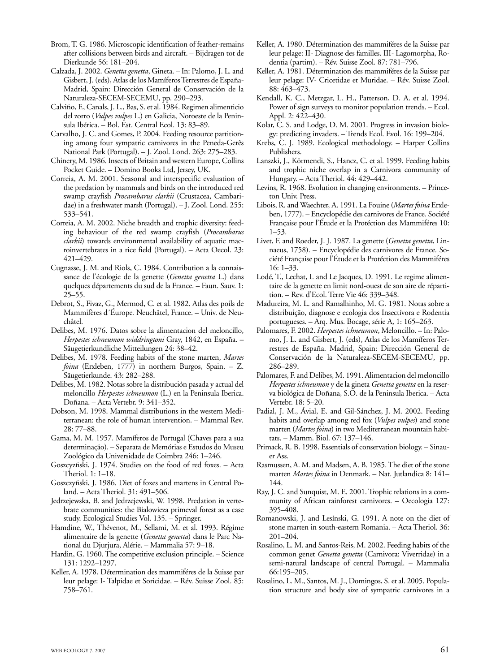- Brom, T. G. 1986. Microscopic identification of feather-remains after collisions between birds and aircraft. – Bijdragen tot de Dierkunde 56: 181–204.
- Calzada, J. 2002. *Genetta genetta*, Gineta. In: Palomo, J. L. and Gisbert, J. (eds), Atlas de los Mamíferos Terrestres de España-Madrid, Spain: Dirección General de Conservación de la Naturaleza-SECEM-SECEMU, pp. 290–293.
- Calviño, F., Canals, J. L., Bas, S. et al. 1984. Regimen alimenticio del zorro (*Vulpes vulpes* L.) en Galicia, Noroeste de la Peninsula Ibérica. – Bol. Est. Central Ecol. 13: 83–89.
- Carvalho, J. C. and Gomes, P. 2004. Feeding resource partitioning among four sympatric carnivores in the Peneda-Gerês National Park (Portugal). – J. Zool. Lond. 263: 275–283.
- Chinery, M. 1986. Insects of Britain and western Europe, Collins Pocket Guide. – Domino Books Ltd, Jersey, UK.
- Correia, A. M. 2001. Seasonal and interspecific evaluation of the predation by mammals and birds on the introduced red swamp crayfish *Procambarus clarkii* (Crustacea, Cambaridae) in a freshwater marsh (Portugal). – J. Zool. Lond. 255: 533–541.
- Correia, A. M. 2002. Niche breadth and trophic diversity: feeding behaviour of the red swamp crayfish (*Procambarus clarkii*) towards environmental availability of aquatic macroinvertebrates in a rice field (Portugal). – Acta Oecol. 23: 421–429.
- Cugnasse, J. M. and Riols, C. 1984. Contribution a la connaissance de l'écologie de la genette (*Genetta genetta* L.) dans quelques départements du sud de la France. – Faun. Sauv. 1: 25–55.
- Debrot, S., Fivaz, G., Mermod, C. et al. 1982. Atlas des poils de Mammifères d´Éurope*.* Neuchâtel, France. – Univ. de Neuchâtel.
- Delibes, M. 1976. Datos sobre la alimentacion del meloncillo, *Herpestes ichneumon widdringtoni* Gray, 1842, en España. – Säugetierkundliche Mitteilungen 24: 38–42.
- Delibes, M. 1978. Feeding habits of the stone marten, *Martes foina* (Erxleben, 1777) in northern Burgos, Spain. – Z. Säugetierkunde. 43: 282–288.
- Delibes, M. 1982. Notas sobre la distribución pasada y actual del meloncillo *Herpestes ichneumon* (L.) en la Peninsula Iberica. Doñana. – Acta Vertebr. 9: 341–352.
- Dobson, M. 1998. Mammal distributions in the western Mediterranean: the role of human intervention. – Mammal Rev*.* 28: 77–88.
- Gama, M. M. 1957. Mamíferos de Portugal (Chaves para a sua determinação). – Separata de Memórias e Estudos do Museu Zoológico da Universidade de Coimbra 246: 1–246.
- Goszcyzñski, J. 1974. Studies on the food of red foxes. Acta Theriol. 1: 1–18.
- Goszczyñski, J. 1986. Diet of foxes and martens in Central Poland. – Acta Theriol. 31: 491–506.
- Jedrzejewska, B. and Jedrzejewski, W. 1998. Predation in vertebrate communities: the Bialowieza primeval forest as a case study. Ecological Studies Vol. 135. – Springer.
- Hamdine, W., Thévenot, M., Sellami, M. et al. 1993. Régime alimentaire de la genette (*Genetta genetta*) dans le Parc National du Djurjura, Alérie. – Mammalia 57: 9–18.
- Hardin, G. 1960. The competitive exclusion principle. Science 131: 1292–1297.
- Keller, A. 1978. Détermination des mammiféres de la Suisse par leur pelage: I- Talpidae et Soricidae. – Rév. Suisse Zool. 85: 758–761.
- Keller, A. 1980. Détermination des mammiféres de la Suisse par leur pelage: II- Diagnose des familles. III- Lagomorpha, Rodentia (partim). – Rév. Suisse Zool*.* 87: 781–796.
- Keller, A. 1981. Détermination des mammiféres de la Suisse par leur pelage: IV- Cricetidae et Muridae. – Rév. Suisse Zool. 88: 463–473.
- Kendall, K. C., Metzgar, L. H., Patterson, D. A. et al. 1994. Power of sign surveys to monitor population trends. – Ecol. Appl. 2: 422–430.
- Kolar, C. S. and Lodge, D. M. 2001. Progress in invasion biology: predicting invaders. – Trends Ecol. Evol. 16: 199–204.
- Krebs, C. J. 1989. Ecological methodology. Harper Collins Publishers.
- Lanszki, J., Körmendi, S., Hancz, C. et al. 1999. Feeding habits and trophic niche overlap in a Carnivora community of Hungary. – Acta Theriol. 44: 429–442.
- Levins, R. 1968. Evolution in changing environments. Princeton Univ. Press.
- Libois, R. and Waechter, A. 1991. La Fouine (*Martes foina* Erxleben, 1777). – Encyclopédie des carnivores de France*.* Société Française pour l'Étude et la Protéction des Mammiféres 10: 1–53.
- Livet, F. and Roeder, J. J. 1987. La genette (*Genetta genetta*, Linnaeus, 1758). – Encyclopédie des carnivores de France*.* Société Française pour l'Étude et la Protéction des Mammiféres 16: 1–33.
- Lodé, T., Lechat, I. and Le Jacques, D. 1991. Le regime alimentaire de la genette en limit nord-ouest de son aire de répartition. – Rev. d'Ecol. Terre Vie 46: 339–348.
- Madureira, M. L. and Ramalhinho, M. G. 1981. Notas sobre a distribuição, diagnose e ecologia dos Insectívora e Rodentia portugueses. – Arq. Mus. Bocage, série A, 1: 165–263.
- Palomares, F. 2002. *Herpestes ichneumon*, Meloncillo. In: Palomo, J. L. and Gisbert, J. (eds), Atlas de los Mamíferos Terrestres de España. Madrid, Spain: Dirección General de Conservación de la Naturaleza-SECEM-SECEMU, pp. 286–289.
- Palomares, F. and Delibes, M. 1991. Alimentacion del meloncillo *Herpestes ichneumon* y de la gineta *Genetta genetta* en la reserva biológica de Doñana, S.O. de la Peninsula Iberica. – Acta Vertebr. 18: 5–20.
- Padial, J. M., Ávial, E. and Gil-Sánchez, J. M. 2002. Feeding habits and overlap among red fox (*Vulpes vulpes*) and stone marten (*Martes foina*) in two Mediterranean mountain habitats. – Mamm. Biol. 67: 137–146.
- Primack, R. B. 1998. Essentials of conservation biology. Sinauer Ass.
- Rasmussen, A. M. and Madsen, A. B. 1985. The diet of the stone marten *Martes foina* in Denmark. – Nat. Jutlandica 8: 141– 144.
- Ray, J. C. and Sunquist, M. E. 2001. Trophic relations in a community of African rainforest carnivores. – Oecologia 127: 395–408.
- Romanowski, J. and Lesínski, G. 1991. A note on the diet of stone marten in south-eastern Romania. – Acta Theriol. 36: 201–204.
- Rosalino, L. M. and Santos-Reis, M. 2002. Feeding habits of the common genet *Genetta genetta* (Carnivora: Viverridae) in a semi-natural landscape of central Portugal. – Mammalia 66:195–205.
- Rosalino, L. M., Santos, M. J., Domingos, S. et al. 2005. Population structure and body size of sympatric carnivores in a